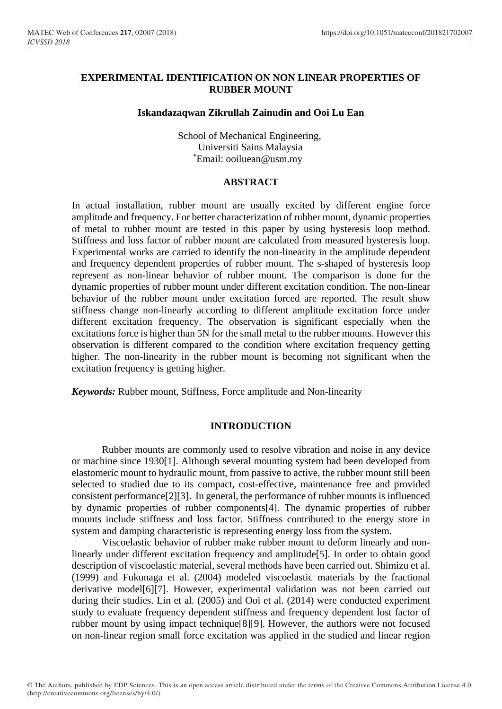# **EXPERIMENTAL IDENTIFICATION ON NON LINEAR PROPERTIES OF RUBBER MOUNT**

## **Iskandazaqwan Zikrullah Zainudin and Ooi Lu Ean**

 School of Mechanical Engineering, Universiti Sains Malaysia \* Email: ooiluean@usm.my

### **ABSTRACT**

In actual installation, rubber mount are usually excited by different engine force amplitude and frequency. For better characterization of rubber mount, dynamic properties of metal to rubber mount are tested in this paper by using hysteresis loop method. Stiffness and loss factor of rubber mount are calculated from measured hysteresis loop. Experimental works are carried to identify the non-linearity in the amplitude dependent and frequency dependent properties of rubber mount. The s-shaped of hysteresis loop represent as non-linear behavior of rubber mount. The comparison is done for the dynamic properties of rubber mount under different excitation condition. The non-linear behavior of the rubber mount under excitation forced are reported. The result show stiffness change non-linearly according to different amplitude excitation force under different excitation frequency. The observation is significant especially when the excitations force is higher than 5N for the small metal to the rubber mounts. However this observation is different compared to the condition where excitation frequency getting higher. The non-linearity in the rubber mount is becoming not significant when the excitation frequency is getting higher.

*Keywords:* Rubber mount, Stiffness, Force amplitude and Non-linearity

# **INTRODUCTION**

Rubber mounts are commonly used to resolve vibration and noise in any device or machine since 1930[1]. Although several mounting system had been developed from elastomeric mount to hydraulic mount, from passive to active, the rubber mount still been selected to studied due to its compact, cost-effective, maintenance free and provided consistent performance[2][3]. In general, the performance of rubber mounts is influenced by dynamic properties of rubber components[4]. The dynamic properties of rubber mounts include stiffness and loss factor. Stiffness contributed to the energy store in system and damping characteristic is representing energy loss from the system.

Viscoelastic behavior of rubber make rubber mount to deform linearly and nonlinearly under different excitation frequency and amplitude[5]. In order to obtain good description of viscoelastic material, several methods have been carried out. Shimizu et al. (1999) and Fukunaga et al. (2004) modeled viscoelastic materials by the fractional derivative model[6][7]. However, experimental validation was not been carried out during their studies. Lin et al. (2005) and Ooi et al. (2014) were conducted experiment study to evaluate frequency dependent stiffness and frequency dependent lost factor of rubber mount by using impact technique[8][9]. However, the authors were not focused on non-linear region small force excitation was applied in the studied and linear region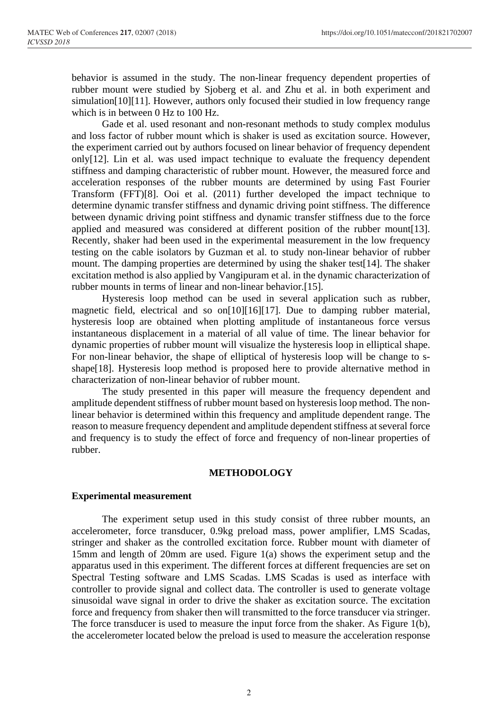behavior is assumed in the study. The non-linear frequency dependent properties of rubber mount were studied by Sjoberg et al. and Zhu et al. in both experiment and simulation[10][11]. However, authors only focused their studied in low frequency range which is in between 0 Hz to 100 Hz.

Gade et al. used resonant and non-resonant methods to study complex modulus and loss factor of rubber mount which is shaker is used as excitation source. However, the experiment carried out by authors focused on linear behavior of frequency dependent only[12]. Lin et al. was used impact technique to evaluate the frequency dependent stiffness and damping characteristic of rubber mount. However, the measured force and acceleration responses of the rubber mounts are determined by using Fast Fourier Transform (FFT)[8]. Ooi et al. (2011) further developed the impact technique to determine dynamic transfer stiffness and dynamic driving point stiffness. The difference between dynamic driving point stiffness and dynamic transfer stiffness due to the force applied and measured was considered at different position of the rubber mount[13]. Recently, shaker had been used in the experimental measurement in the low frequency testing on the cable isolators by Guzman et al. to study non-linear behavior of rubber mount. The damping properties are determined by using the shaker test[14]. The shaker excitation method is also applied by Vangipuram et al. in the dynamic characterization of rubber mounts in terms of linear and non-linear behavior.[15].

Hysteresis loop method can be used in several application such as rubber, magnetic field, electrical and so on[10][16][17]. Due to damping rubber material, hysteresis loop are obtained when plotting amplitude of instantaneous force versus instantaneous displacement in a material of all value of time. The linear behavior for dynamic properties of rubber mount will visualize the hysteresis loop in elliptical shape. For non-linear behavior, the shape of elliptical of hysteresis loop will be change to sshape[18]. Hysteresis loop method is proposed here to provide alternative method in characterization of non-linear behavior of rubber mount.

The study presented in this paper will measure the frequency dependent and amplitude dependent stiffness of rubber mount based on hysteresis loop method. The nonlinear behavior is determined within this frequency and amplitude dependent range. The reason to measure frequency dependent and amplitude dependent stiffness at several force and frequency is to study the effect of force and frequency of non-linear properties of rubber.

### **METHODOLOGY**

#### **Experimental measurement**

The experiment setup used in this study consist of three rubber mounts, an accelerometer, force transducer, 0.9kg preload mass, power amplifier, LMS Scadas, stringer and shaker as the controlled excitation force. Rubber mount with diameter of 15mm and length of 20mm are used. Figure 1(a) shows the experiment setup and the apparatus used in this experiment. The different forces at different frequencies are set on Spectral Testing software and LMS Scadas. LMS Scadas is used as interface with controller to provide signal and collect data. The controller is used to generate voltage sinusoidal wave signal in order to drive the shaker as excitation source. The excitation force and frequency from shaker then will transmitted to the force transducer via stringer. The force transducer is used to measure the input force from the shaker. As Figure 1(b), the accelerometer located below the preload is used to measure the acceleration response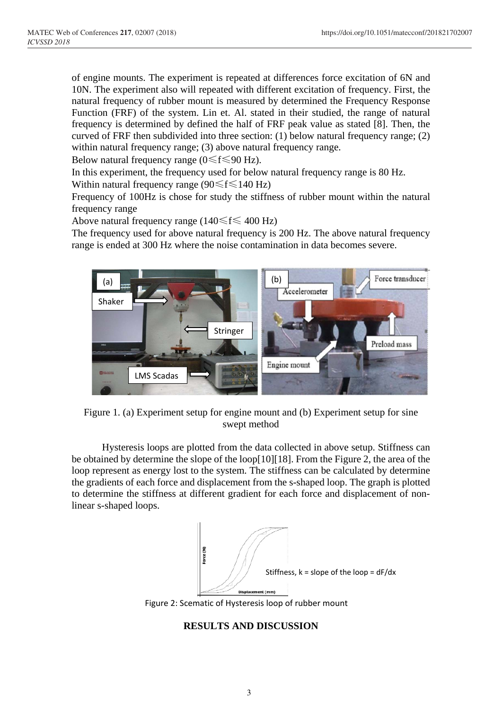of engine mounts. The experiment is repeated at differences force excitation of 6N and 10N. The experiment also will repeated with different excitation of frequency. First, the natural frequency of rubber mount is measured by determined the Frequency Response Function (FRF) of the system. Lin et. Al. stated in their studied, the range of natural frequency is determined by defined the half of FRF peak value as stated [8]. Then, the curved of FRF then subdivided into three section: (1) below natural frequency range; (2) within natural frequency range; (3) above natural frequency range.

Below natural frequency range ( $0 \le f \le 90$  Hz).

In this experiment, the frequency used for below natural frequency range is 80 Hz.

Within natural frequency range (90≤f≤140 Hz)

Frequency of 100Hz is chose for study the stiffness of rubber mount within the natural frequency range

Above natural frequency range (140≤f≤ 400 Hz)

The frequency used for above natural frequency is 200 Hz. The above natural frequency range is ended at 300 Hz where the noise contamination in data becomes severe.



Figure 1. (a) Experiment setup for engine mount and (b) Experiment setup for sine swept method

Hysteresis loops are plotted from the data collected in above setup. Stiffness can be obtained by determine the slope of the loop[10][18]. From the Figure 2, the area of the loop represent as energy lost to the system. The stiffness can be calculated by determine the gradients of each force and displacement from the s-shaped loop. The graph is plotted to determine the stiffness at different gradient for each force and displacement of nonlinear s-shaped loops.





# **RESULTS AND DISCUSSION**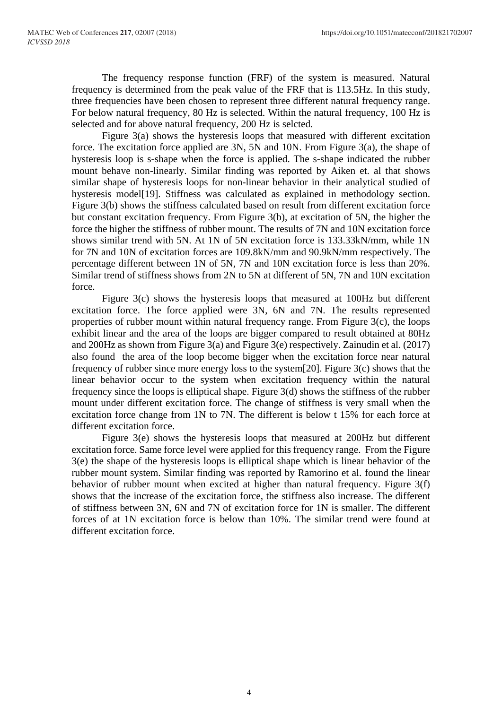The frequency response function (FRF) of the system is measured. Natural frequency is determined from the peak value of the FRF that is 113.5Hz. In this study, three frequencies have been chosen to represent three different natural frequency range. For below natural frequency, 80 Hz is selected. Within the natural frequency, 100 Hz is selected and for above natural frequency, 200 Hz is selcted.

Figure 3(a) shows the hysteresis loops that measured with different excitation force. The excitation force applied are 3N, 5N and 10N. From Figure 3(a), the shape of hysteresis loop is s-shape when the force is applied. The s-shape indicated the rubber mount behave non-linearly. Similar finding was reported by Aiken et. al that shows similar shape of hysteresis loops for non-linear behavior in their analytical studied of hysteresis model[19]. Stiffness was calculated as explained in methodology section. Figure 3(b) shows the stiffness calculated based on result from different excitation force but constant excitation frequency. From Figure 3(b), at excitation of 5N, the higher the force the higher the stiffness of rubber mount. The results of 7N and 10N excitation force shows similar trend with 5N. At 1N of 5N excitation force is 133.33kN/mm, while 1N for 7N and 10N of excitation forces are 109.8kN/mm and 90.9kN/mm respectively. The percentage different between 1N of 5N, 7N and 10N excitation force is less than 20%. Similar trend of stiffness shows from 2N to 5N at different of 5N, 7N and 10N excitation force.

Figure 3(c) shows the hysteresis loops that measured at 100Hz but different excitation force. The force applied were 3N, 6N and 7N. The results represented properties of rubber mount within natural frequency range. From Figure 3(c), the loops exhibit linear and the area of the loops are bigger compared to result obtained at 80Hz and 200Hz as shown from Figure 3(a) and Figure 3(e) respectively. Zainudin et al. (2017) also found the area of the loop become bigger when the excitation force near natural frequency of rubber since more energy loss to the system[20]. Figure 3(c) shows that the linear behavior occur to the system when excitation frequency within the natural frequency since the loops is elliptical shape. Figure 3(d) shows the stiffness of the rubber mount under different excitation force. The change of stiffness is very small when the excitation force change from 1N to 7N. The different is below t 15% for each force at different excitation force.

Figure 3(e) shows the hysteresis loops that measured at 200Hz but different excitation force. Same force level were applied for this frequency range. From the Figure 3(e) the shape of the hysteresis loops is elliptical shape which is linear behavior of the rubber mount system. Similar finding was reported by Ramorino et al. found the linear behavior of rubber mount when excited at higher than natural frequency. Figure 3(f) shows that the increase of the excitation force, the stiffness also increase. The different of stiffness between 3N, 6N and 7N of excitation force for 1N is smaller. The different forces of at 1N excitation force is below than 10%. The similar trend were found at different excitation force.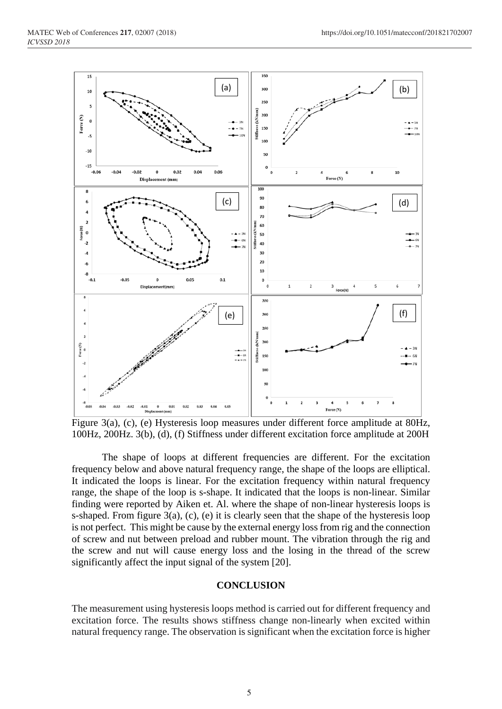

Figure 3(a), (c), (e) Hysteresis loop measures under different force amplitude at 80Hz, 100Hz, 200Hz. 3(b), (d), (f) Stiffness under different excitation force amplitude at 200H

The shape of loops at different frequencies are different. For the excitation frequency below and above natural frequency range, the shape of the loops are elliptical. It indicated the loops is linear. For the excitation frequency within natural frequency range, the shape of the loop is s-shape. It indicated that the loops is non-linear. Similar finding were reported by Aiken et. Al. where the shape of non-linear hysteresis loops is s-shaped. From figure  $3(a)$ , (c), (e) it is clearly seen that the shape of the hysteresis loop is not perfect. This might be cause by the external energy loss from rig and the connection of screw and nut between preload and rubber mount. The vibration through the rig and the screw and nut will cause energy loss and the losing in the thread of the screw significantly affect the input signal of the system [20].

#### **CONCLUSION**

The measurement using hysteresis loops method is carried out for different frequency and excitation force. The results shows stiffness change non-linearly when excited within natural frequency range. The observation is significant when the excitation force is higher